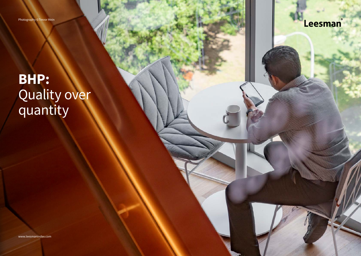Photography ©Trevor Mein

**BHP:** Quality over quantity

Leesman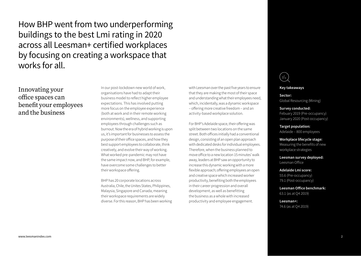How BHP went from two underperforming buildings to the best Lmi rating in 2020 across all Leesman+ certified workplaces by focusing on creating a workspace that works for all.

## Innovating your office spaces can benefit your employees and the business

In our post-lockdown new world of work, organisations have had to adapt their business model to reflect higher employee expectations. This has involved putting more focus on the employee experience (both at work and in their remote working environments), wellness, and supporting employees through challenges such as burnout. Now the era of hybrid working is upon us, it's important for businesses to assess the purpose of their office spaces, and how they best support employees to collaborate, think creatively, and evolve their way of working. What worked pre-pandemic may not have the same impact now, and BHP, for example, have overcome some challenges to better their workspace offering.

BHP has 20 corporate locations across Australia, Chile, the Unites States, Philippines, Malaysia, Singapore and Canada, meaning their workspace requirements are widely diverse. For this reason, BHP has been working with Leesman over the past five years to ensure that they are making the most of their space and understanding what their employees need, which, incidentally, was a dynamic workspace – offering more creative freedom – and an activity-based workplace solution.

For BHP's Adelaide space, their offering was split between two locations on the same street. Both offices initially had a conventional design, consisting of an open plan approach with dedicated desks for individual employees. Therefore, when the business planned to move office to a new location 15 minutes' walk away, leaders at BHP saw an opportunity to increase this dynamic working with a more flexible approach; offering employees an open and creative space which increased worker productivity, benefiting both the employees in their career progression and overall development, as well as benefitting the business as a whole with increased productivity and employee engagement.



#### **Key takeaways**

**Sector:**  Global Resourcing (Mining)

**Survey conducted:**  Febuary 2019 (Pre-occupancy) January 2020 (Post-occupancy)

**Target population:**  Adelaide – 800 employees

**Workplace lifecycle stage:**  Measuring the benefits of new workplace strategies

**Leesman survey deployed:**  Leesman Office

**Adelaide Lmi score:**  55.6 (Pre-occupancy) 79.1 (Post-occupancy)

**Leesman Office benchmark:** 63.1 (as at Q4 2019)

**Leesman+:**  74.6 (as at Q4 2019)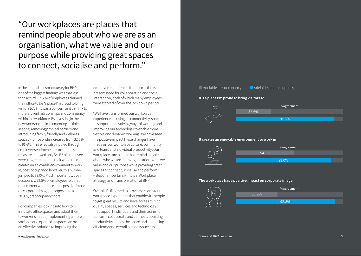"Our workplaces are places that remind people about who we are as an organisation, what we value and our purpose while providing great spaces to connect, socialise and perform."

In the original Leesman survey for BHP one of the biggest findings was that less than a third (32.6%) of employees claimed their office to be "a place I'm proud to bring visitors to". This was a concern as it can link to morale, client relationships and community within the workforce. By investing in the new workspace – implementing flexible seating, removing physical barriers and introducing family friendly and wellness spaces – office pride increased from 32.6% to 91.6%. This effect also rippled through employee sentiment: pre-occupancy measures showed only 54.1% of employees were in agreement that their workplace creates an enjoyable environment to work in, post-occupancy, however, this number jumped to 89.0%. Most importantly, postoccupancy, 92.5% of employees felt that their current workplace has a positive impact on corporate image, as opposed to a mere 38.9%, preoccupancy score.

For companies looking into how to innovate office spaces and adapt them to worker's needs, implementing a more sociable and open-plan space can be an effective solution to improving the

employee experience. It supports the everpresent need for collaboration and social interaction, both of which many employees were starved of over the lockdown period.

"We have transformed our workplace experience focusing on connectivity, spaces to support our evolving ways of working and improving our technology to enable more flexible and dynamic working. We have seen the positive impact these changes have made on our workplace culture, community and team, and individual productivity. Our workplaces are places that remind people about who we are as an organisation, what we value and our purpose while providing great spaces to connect, socialise and perform." – Bec Chamberlain, Principal Workplace Strategy and Transformation at BHP

Overall, BHP aimed to provide a consistent workplace experience that enables its people to get great results and have access to high quality spaces, services and technology that support individuals and their teams to perform, collaborate and connect, boosting productivity across the board and increasing efficiency and overall business success.





#### **It creates an enjoyable environment to work in**



#### **The workplace has a positive impact on corporate image**

 $\blacksquare$  Adelaide pre-occupancy  $\blacksquare$  Adelaide post-occupancy

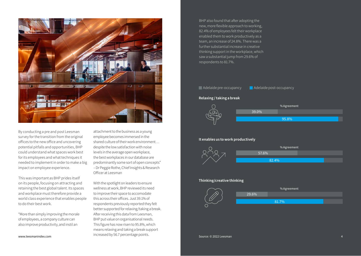

By conducting a pre and post Leesman survey for the transition from the original offices to the new office and uncovering potential pitfalls and opportunities, BHP could understand what spaces work best for its employees and what techniques it needed to implement in order to make a big impact on employee experience.

This was important as BHP prides itself on its people, focusing on attracting and retaining the best global talent. Its spaces and workplace must therefore provide a world class experience that enables people to do their best work.

"More than simply improving the morale of employees, a company culture can also improve productivity, and instil an

attachment to the business as a young employee becomes immersed in the shared culture of their work environment… despite the low satisfaction with noise levels in the average open workplace, the best workplaces in our database are predominantly some sort of open concepts" – Dr Peggie Rothe, Chief Insights & Research Officer at Leesman

With the spotlight on leaders to ensure wellness at work, BHP reviewed its need to improve their space to accomodate this across their offices. Just 39.1% of respondents previously reported they felt better supported for relaxing/taking a break. After receiving this data from Leesman, BHP put value on organisational needs. This figure has now risen to 95.8%, which means relaxing and taking a break support www.leesmanindex.com example increased by 56.7 percentage points.

BHP also found that after adopting the new, more flexible approach to working, 82.4% of employees felt their workplace enabled them to work productively as a team, an increase of 24.8%. There was a further substantial increase in creative thinking support in the workplace, which saw a substantial jump from 29.6% of respondents to 81.7%.



82.4%

### **Thinking/creative thinking**

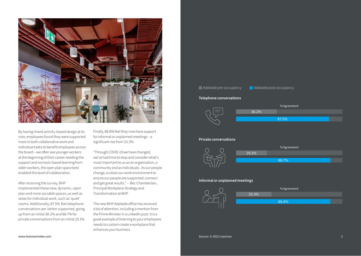

By having mixed activity-based design at its core, employees found they were supported more in both collaborative work and individual tasks to benefit employees across the board – we often see younger workers at the beginning of their career needing the support and osmosis-based learning from older workers, the open plan space best enabled this level of collaboration.

After receiving the survey, BHP implemented these new, dynamic, open plan and more sociable spaces, as well as areas for individual work, such as 'quiet' rooms. Additionally, 87.5% feel telephone conversations are better supported, going up from an initial 38.2% and 88.7% for private conversations from an initial 29.1%. Finally, 88.8% feel they now have support for informal or unplanned meetings – a significant rise from 33.3%.

"Through COVID-19 we have changed, we've had time to stop and consider what's most important to us as an organisation, a community and as individuals. As our people change, so does our work environment to ensure our people are supported, connect and get great results." – Bec Chamberlain, Principal Workplace Strategy and Transformation at BHP

The new BHP Adelaide office has received a lot of attention, including a mention from the Prime Minister in a LinkedIn post. It is a great example of listening to your employees needs to custom create a workplace that enhances your business.